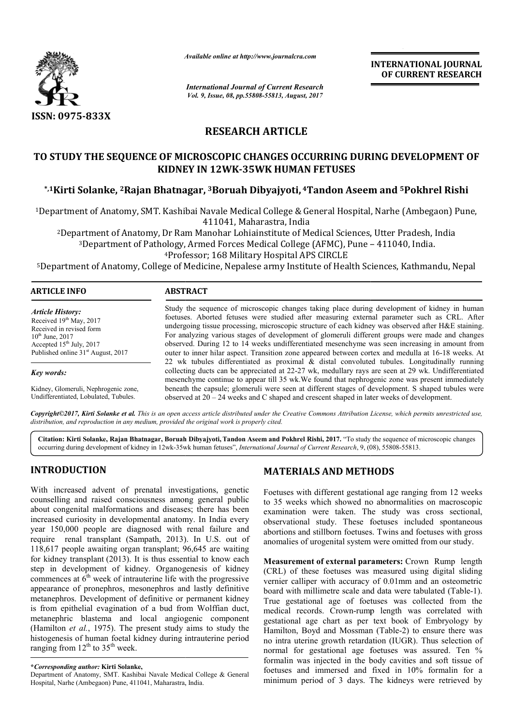

*Available online at http://www.journal http://www.journalcra.com*

*International Journal of Current Research Vol. 9, Issue, 08, pp.55808-55813, August, 2017* **INTERNATIONAL JOURNAL OF CURRENT RESEARCH** 

# **RESEARCH ARTICLE**

# TO STUDY THE SEQUENCE OF MICROSCOPIC CHANGES OCCURRING DURING DEVELOPMENT OF **KIDNEY IN 12WK 12WK-35WK HUMAN FETUSES**

**\*,1Kirti Solanke, 2Rajan Bhatnagar, Rajan 3Boruah Dibyajyoti, 4Tandon Aseem and 5Pokhrel Rishi**

<sup>1</sup>Department of Anatomy, SMT. Kashibai Navale Medical College & General Hospital, Narhe (Ambegaon) Pune, 411041, Maharastra, India

artment of Anatomy, SMT. Kashibai Navale Medical College & General Hospital, Narhe (Ambegaon)<br>411041, Maharastra, India<br><sup>2</sup>Department of Anatomy, Dr Ram Manohar Lohiainstitute of Medical Sciences, Utter Pradesh, India<sup>3</sup><br><sup></sup> 3Department of Pathology, Armed Forces Medical College (AFMC), Pune

4Professor; 168 Military Hospital APS CIRCLE

5Department of Anatomy, College of Medicine Professor; Medicine, Nepalese army Institute of Health Sciences Sciences, Kathmandu, Nepal

| ARTICLE INFO                                                                                                    | <b>ABSTRACT</b>                                                                                                                                                                                                                                                                                                                                                                                        |  |
|-----------------------------------------------------------------------------------------------------------------|--------------------------------------------------------------------------------------------------------------------------------------------------------------------------------------------------------------------------------------------------------------------------------------------------------------------------------------------------------------------------------------------------------|--|
| <i><b>Article History:</b></i><br>Received $19th$ May, 2017<br>Received in revised form<br>$10^{th}$ June, 2017 | Study the sequence of microscopic changes taking place during development of kidney in human<br>foetuses. Aborted fetuses were studied after measuring external parameter such as CRL. After<br>undergoing tissue processing, microscopic structure of each kidney was observed after H&E staining.<br>For analyzing various stages of development of glomeruli different groups were made and changes |  |
| Accepted $15th$ July, 2017<br>Published online 31 <sup>st</sup> August, 2017                                    | observed. During 12 to 14 weeks undifferentiated mesenchyme was seen increasing in amount from<br>outer to inner hilar aspect. Transition zone appeared between cortex and medulla at 16-18 weeks. At                                                                                                                                                                                                  |  |
|                                                                                                                 | 22 wk tubules differentiated as proximal & distal convoluted tubules. Longitudinally running                                                                                                                                                                                                                                                                                                           |  |
| Key words:                                                                                                      | collecting ducts can be appreciated at 22-27 wk, medullary rays are seen at 29 wk. Undifferentiated<br>mesenchyme continue to appear till 35 wk. We found that nephrogenic zone was present immediately                                                                                                                                                                                                |  |
| Kidney, Glomeruli, Nephrogenic zone,<br>Undifferentiated, Lobulated, Tubules.                                   | beneath the capsule; glomeruli were seen at different stages of development. S shaped tubules were<br>observed at $20 - 24$ weeks and C shaped and crescent shaped in later weeks of development.                                                                                                                                                                                                      |  |

*Copyright©2017, Kirti Solanke et al. This is an open access article distributed under the Creative Commons Attribution License, which ribution permits unrestricted use, distribution, and reproduction in any medium, provided the original work is properly cited.*

**Citation: Kirti Solanke, Rajan Bhatnagar, Boruah Dibyajyoti, Tandon Aseem and Pokhrel Rishi, 2017.** "To study the sequence of microscopic changes Citation: Kirti Solanke, Rajan Bhatnagar, Boruah Dibyajyoti, Tandon Aseem and Pokhrel Rishi, 2017. "To study the sequence of r<br>35 occurring during development of kidney in 12wk-35wk human fetuses", *International Journal o* 

# **INTRODUCTION**

With increased advent of prenatal investigations, genetic counselling and raised consciousness among general public about congenital malformations and diseases; there has been increased curiosity in developmental anatomy. In India every year 150,000 people are diagnosed with renal failure and require renal transplant (Sampath, 2013) ). In U.S. out of 118,617 people awaiting organ transplant; 96,645 are waiting for kidney transplant (2013). It is thus essential to know each step in development of kidney. Organogenesis of kidney commences at  $6<sup>th</sup>$  week of intrauterine life with the progressive appearance of pronephros, mesonephros and lastly definitive metanephros. Development of definitive or permanent kidney is from epithelial evagination of a bud from Wolffian duct, metanephric blastema and local angiogenic component (Hamilton *et al.*, 1975). The present study aims to study the histogenesis of human foetal kidney during intrauterine period ranging from  $12^{th}$  to  $35^{th}$  week.

# **MATERIALS AND METHODS METHODS**

Foetuses with different gestational age ranging from 12 weeks to 35 weeks which showed no abnormalities on macroscopic examination were taken. The study was cross sectional, observational study. These foetuses included spontaneous abortions and stillborn foetuses. Twins and foetuses with gross anomalies of urogenital system were omitted from our study. Foetuses with different gestational age ranging from 12 weeks<br>to 35 weeks which showed no abnormalities on macroscopic<br>examination were taken. The study was cross sectional,<br>observational study. These foetuses included spo

**Measurement of external parameters:** Crown Rump length (CRL) of these foetuses was measured using digital sliding vernier calliper with accuracy of 0.01mm and an osteometric board with millimetre scale and data were tabulated (Table-1). True gestational age of foetuses was collected from the medical records. Crown-rump length was correlated with gestational age chart as per text book of Embryology by Hamilton, Boyd and Mossman (Table-2) to ensure there was no intra uterine growth retardation (IUGR). Thus selection of no intra uterine growth retardation (IUGR). Thus selection of normal for gestational age foetuses was assured. Ten % formalin was injected in the body cavities and soft tissue of foetuses and immersed and fixed in 10% formalin for a minimum period of 3 days. The kidneys were retrieved by True gestational age of foetuses was collected from the medical records. Crown-rump length was correlated with gestational age chart as per text book of Embryology by Hamilton, Boyd and Mossman (Table-2) to ensure there wa injected in the body cavities and soft tissue of<br>immersed and fixed in 10% formalin for a<br>iod of 3 days. The kidneys were retrieved by

**<sup>\*</sup>***Corresponding author:* **Kirti Solanke,**

Department of Anatomy, SMT. Kashibai Navale Medical College & General Hospital, Narhe (Ambegaon) Pune, 411041, Maharastra, India.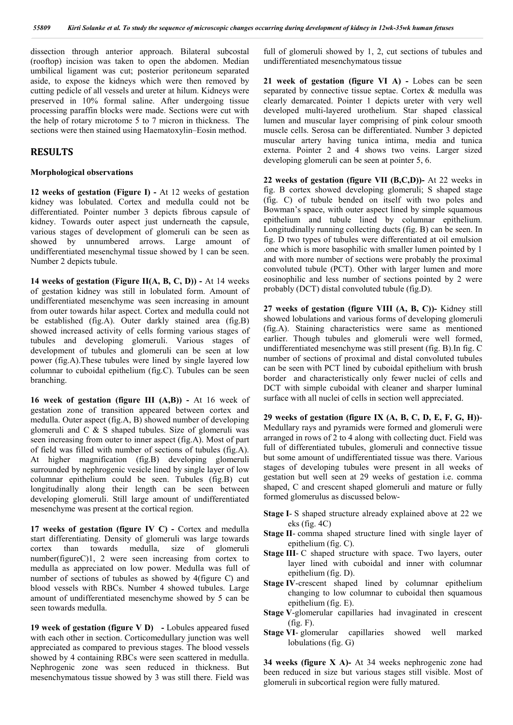dissection through anterior approach. Bilateral subcostal (rooftop) incision was taken to open the abdomen. Median umbilical ligament was cut; posterior peritoneum separated aside, to expose the kidneys which were then removed by cutting pedicle of all vessels and ureter at hilum. Kidneys were preserved in 10% formal saline. After undergoing tissue processing paraffin blocks were made. Sections were cut with the help of rotary microtome 5 to 7 micron in thickness. The sections were then stained using Haematoxylin–Eosin method.

### **RESULTS**

#### **Morphological observations**

**12 weeks of gestation (Figure I) -** At 12 weeks of gestation kidney was lobulated. Cortex and medulla could not be differentiated. Pointer number 3 depicts fibrous capsule of kidney. Towards outer aspect just underneath the capsule, various stages of development of glomeruli can be seen as showed by unnumbered arrows. Large amount of undifferentiated mesenchymal tissue showed by 1 can be seen. Number 2 depicts tubule.

**14 weeks of gestation (Figure II(A, B, C, D)) -** At 14 weeks of gestation kidney was still in lobulated form. Amount of undifferentiated mesenchyme was seen increasing in amount from outer towards hilar aspect. Cortex and medulla could not be established (fig.A). Outer darkly stained area (fig.B) showed increased activity of cells forming various stages of tubules and developing glomeruli. Various stages of development of tubules and glomeruli can be seen at low power (fig.A).These tubules were lined by single layered low columnar to cuboidal epithelium (fig.C). Tubules can be seen branching.

**16 week of gestation (figure III (A,B)) -** At 16 week of gestation zone of transition appeared between cortex and medulla. Outer aspect (fig.A, B) showed number of developing glomeruli and C & S shaped tubules. Size of glomeruli was seen increasing from outer to inner aspect (fig.A). Most of part of field was filled with number of sections of tubules (fig.A). At higher magnification (fig.B) developing glomeruli surrounded by nephrogenic vesicle lined by single layer of low columnar epithelium could be seen. Tubules (fig.B) cut longitudinally along their length can be seen between developing glomeruli. Still large amount of undifferentiated mesenchyme was present at the cortical region.

**17 weeks of gestation (figure IV C) -** Cortex and medulla start differentiating. Density of glomeruli was large towards cortex than towards medulla, number(figureC)1, 2 were seen increasing from cortex to medulla as appreciated on low power. Medulla was full of number of sections of tubules as showed by 4(figure C) and blood vessels with RBCs. Number 4 showed tubules. Large amount of undifferentiated mesenchyme showed by 5 can be seen towards medulla.

**19 week of gestation (figure V D) -** Lobules appeared fused with each other in section. Corticomedullary junction was well appreciated as compared to previous stages. The blood vessels showed by 4 containing RBCs were seen scattered in medulla. Nephrogenic zone was seen reduced in thickness. But mesenchymatous tissue showed by 3 was still there. Field was

full of glomeruli showed by 1, 2, cut sections of tubules and undifferentiated mesenchymatous tissue

**21 week of gestation (figure VI A) -** Lobes can be seen separated by connective tissue septae. Cortex & medulla was clearly demarcated. Pointer 1 depicts ureter with very well developed multi-layered urothelium. Star shaped classical lumen and muscular layer comprising of pink colour smooth muscle cells. Serosa can be differentiated. Number 3 depicted muscular artery having tunica intima, media and tunica externa. Pointer 2 and 4 shows two veins. Larger sized developing glomeruli can be seen at pointer 5, 6.

**22 weeks of gestation (figure VII (B,C,D))-** At 22 weeks in fig. B cortex showed developing glomeruli; S shaped stage (fig. C) of tubule bended on itself with two poles and Bowman's space, with outer aspect lined by simple squamous epithelium and tubule lined by columnar epithelium. Longitudinally running collecting ducts (fig. B) can be seen. In fig. D two types of tubules were differentiated at oil emulsion .one which is more basophilic with smaller lumen pointed by 1 and with more number of sections were probably the proximal convoluted tubule (PCT). Other with larger lumen and more eosinophilic and less number of sections pointed by 2 were probably (DCT) distal convoluted tubule (fig.D).

**27 weeks of gestation (figure VIII (A, B, C))-** Kidney still showed lobulations and various forms of developing glomeruli (fig.A). Staining characteristics were same as mentioned earlier. Though tubules and glomeruli were well formed, undifferentiated mesenchyme was still present (fig. B).In fig. C number of sections of proximal and distal convoluted tubules can be seen with PCT lined by cuboidal epithelium with brush border and characteristically only fewer nuclei of cells and DCT with simple cuboidal with cleaner and sharper luminal surface with all nuclei of cells in section well appreciated.

**29 weeks of gestation (figure IX (A, B, C, D, E, F, G, H))**- Medullary rays and pyramids were formed and glomeruli were arranged in rows of 2 to 4 along with collecting duct. Field was full of differentiated tubules, glomeruli and connective tissue but some amount of undifferentiated tissue was there. Various stages of developing tubules were present in all weeks of gestation but well seen at 29 weeks of gestation i.e. comma shaped, C and crescent shaped glomeruli and mature or fully formed glomerulus as discussed below-

- **Stage I** S shaped structure already explained above at 22 we eks (fig. 4C)
- **Stage II** comma shaped structure lined with single layer of epithelium (fig. C).
- **Stage III-** C shaped structure with space. Two layers, outer layer lined with cuboidal and inner with columnar epithelium (fig. D).
- **Stage IV**-crescent shaped lined by columnar epithelium changing to low columnar to cuboidal then squamous epithelium (fig. E).
- **Stage V**-glomerular capillaries had invaginated in crescent  $(fig. F)$ .
- **Stage VI** glomerular capillaries showed well marked lobulations (fig. G)

**34 weeks (figure X A)-** At 34 weeks nephrogenic zone had been reduced in size but various stages still visible. Most of glomeruli in subcortical region were fully matured.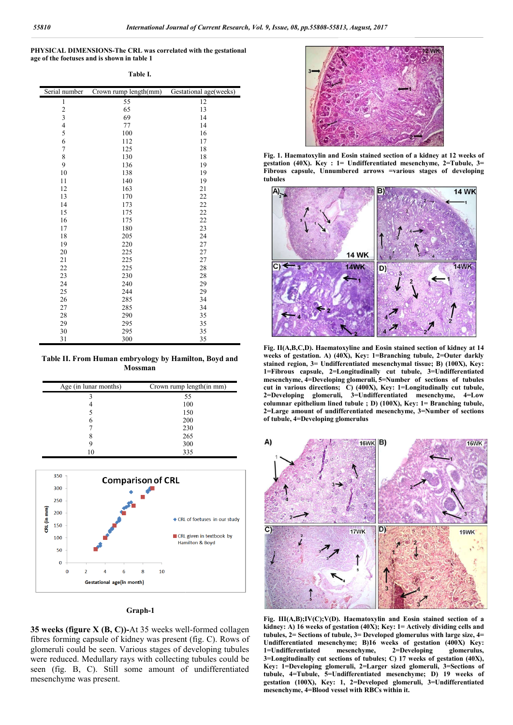**PHYSICAL DIMENSIONS-The CRL was correlated with the gestational The age of the foetuses and is shown in table 1**

**Table I.**

| Serial number  | Crown rump length(mm) | Gestational age(weeks) |
|----------------|-----------------------|------------------------|
| 1              | 55                    | 12                     |
|                | 65                    | 13                     |
| $\frac{2}{3}$  | 69                    | 14                     |
| $\frac{4}{5}$  | 77                    | 14                     |
|                | 100                   | 16                     |
| 6              | 112                   | 17                     |
| $\overline{7}$ | 125                   | 18                     |
| 8              | 130                   | 18                     |
| 9              | 136                   | 19                     |
| 10             | 138                   | 19                     |
| 11             | 140                   | 19                     |
| 12             | 163                   | 21                     |
| 13             | 170                   | 22                     |
| 14             | 173                   | 22                     |
| 15             | 175                   | 22                     |
| 16             | 175                   | 22                     |
| 17             | 180                   | 23                     |
| 18             | 205                   | 24                     |
| 19             | 220                   | 27                     |
| 20             | 225                   | 27                     |
| 21             | 225                   | 27                     |
| 22             | 225                   | 28                     |
| 23             | 230                   | 28                     |
| 24             | 240                   | 29                     |
| 25             | 244                   | 29                     |
| 26             | 285                   | 34                     |
| 27             | 285                   | 34                     |
| 28             | 290                   | 35                     |
| 29             | 295                   | 35                     |
| 30             | 295                   | 35                     |
| 31             | 300                   | 35                     |

**Table II. From Human embryology by Hamilton, Boyd and Mossman**

| Age (in lunar months) | Crown rump length(in mm) |
|-----------------------|--------------------------|
|                       | 55                       |
|                       | 100                      |
|                       | 150                      |
| 6                     | 200                      |
|                       | 230                      |
|                       | 265                      |
|                       | 300                      |
|                       | 335                      |



### **Graph-1**

**35 weeks (figure X (B, C))-At 35 weeks well-formed collagen** fibres forming capsule of kidney was present (fig. C). Rows of glomeruli could be seen. Various stages of developing tubules were reduced. Medullary rays with collecting tubules could be seen (fig. B, C). Still some amount of undifferentiated mesenchyme was present.



**Fig. 1. Haematoxylin and Eosin stained section of a kidney at 12 weeks of gestation (40X). Key : 1= Undifferentiated mesenchyme, 2=Tubule, 3= Fibrous capsule, Unnumbered arrows =various stages of developing tubules**



**Fig. II(A,B,C,D). Haematoxyline and Eosin stained section of kidney at 14 weeks of gestation. A) (40X), Key: 1=Branching tubule, 2=Outer darkly stained region, 3= Undifferentiated mesenchymal tissue; 1=Fibrous capsule, 2=Longitudinally cut tubule, 3=Undifferentiated**  1=Fibrous capsule, 2=Longitudinally cut tubule, 3=Undifferentiated<br>mesenchyme, 4=Developing glomeruli, 5=Number of sections of tubules **cut in various directions; C) (400X), Key: 1=Longitudinally cut tubule, 2=Developing glomeruli, 3=Undifferentiated mesenchyme, 4=Low**  columnar epithelium lined tubule ; D) (100X), Key: 1= Branching tubule, 2=Large amount of undifferentiated mesenchyme, 3=Number of sections **of tubule, 4=Developing glomerulus** 400X), Key: 1=Longitudinally cut tubule,<br>Undifferentiated mesenchyme, 4=Low<br>le ; D) (100X), Key: 1= Branching tubule,



**Fig. III(A,B);IV(C);V(D). Haematoxylin and Eosin stained section of a**  Fig. III(A,B);IV(C);V(D). Haematoxylin and Eosin stained section of a<br>kidney: A) 16 weeks of gestation (40X); Key: 1= Actively dividing cells and tubules, 2= Sections of tubule, 3= Developed glomerulus with large size, 4= Undifferentiated mesenchyme; B)16 weeks of gestation (400X) Key: **1=Undifferentiated mesenchyme, 2=Developing glomerulus,**  1=Undifferentiated mesenchyme, 2=Developing glomerulus,<br>3=Longitudinally cut sections of tubules; C) 17 weeks of gestation (40X), **Key: 1=Developing glomeruli, 2=Larger sized glomeruli, 3=Sections of**  Key: 1=Developing glomeruli, 2=Larger sized glomeruli, 3=Sections of<br>tubule, 4=Tubule, 5=Undifferentiated mesenchyme; D) 19 weeks of **gestation (100X), Key: 1, 2=Developed glomeruli, 3=Undifferentiated mesenchyme, 4=Blood vessel with RBCs within it.**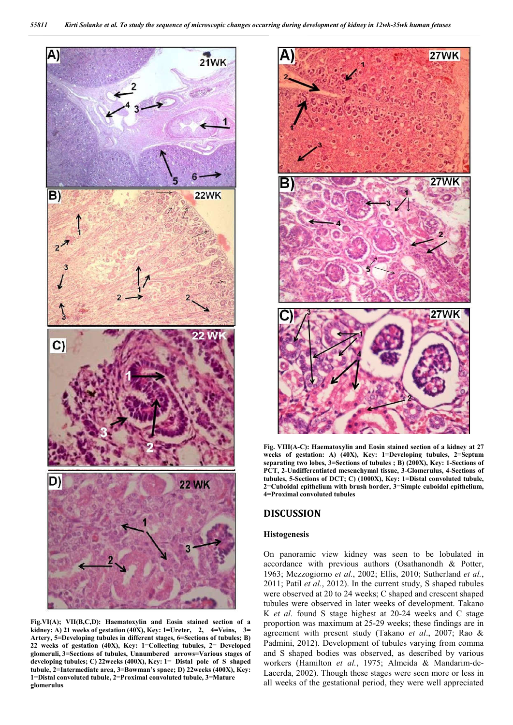

**Fig.VI(A); VII(B,C,D): Haematoxylin and Eosin stained section of a kidney: A) 21 weeks of gestation (40X), Key: 1=Ureter, 2, 4=Veins, 3= Artery, 5=Developing tubules in different stages, 6=Sections of tubules; B) 22 weeks of gestation (40X), Key: 1=Collecting tubules, 2= Developed glomeruli, 3=Sections of tubules, Unnumbered arrows=Various stages of developing tubules; C) 22weeks (400X), Key: 1= Distal pole of S shaped tubule, 2=Intermediate area, 3=Bowman's space; D) 22weeks (400X), Key: 1=Distal convoluted tubule, 2=Proximal convoluted tubule, 3=Mature glomerulus**



**Fig. VIII(A-C): Haematoxylin and Eosin stained section of a kidney at 27 weeks of gestation: A) (40X), Key: 1=Developing tubules, 2=Septum separating two lobes, 3=Sections of tubules ; B) (200X), Key: 1-Sections of PCT, 2-Undifferentiated mesenchymal tissue, 3-Glomerulus, 4-Sections of tubules, 5-Sections of DCT; C) (1000X), Key: 1=Distal convoluted tubule, 2=Cuboidal epithelium with brush border, 3=Simple cuboidal epithelium, 4=Proximal convoluted tubules**

## **DISCUSSION**

### **Histogenesis**

On panoramic view kidney was seen to be lobulated in accordance with previous authors (Osathanondh & Potter, 1963; Mezzogiorno *et al.*, 2002; Ellis, 2010; Sutherland *et al.*, 2011; Patil *et al.*, 2012). In the current study, S shaped tubules were observed at 20 to 24 weeks; C shaped and crescent shaped tubules were observed in later weeks of development. Takano K *et al*. found S stage highest at 20-24 weeks and C stage proportion was maximum at 25-29 weeks; these findings are in agreement with present study (Takano *et al*., 2007; Rao & Padmini, 2012). Development of tubules varying from comma and S shaped bodies was observed, as described by various workers (Hamilton *et al.*, 1975; Almeida & Mandarim-de-Lacerda, 2002). Though these stages were seen more or less in all weeks of the gestational period, they were well appreciated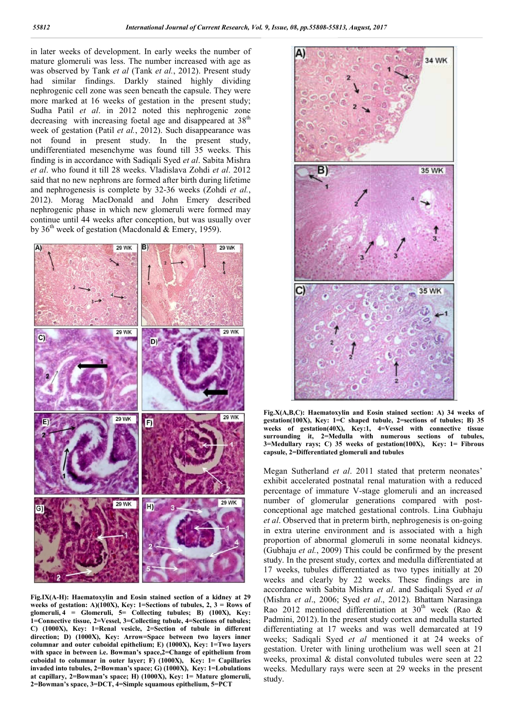in later weeks of development. In early weeks the number of mature glomeruli was less. The number increased with age as was observed by Tank et al (Tank et al., 2012). Present study had similar findings. Darkly stained highly dividing nephrogenic cell zone was seen beneath the capsule. They were more marked at 16 weeks of gestation in the present study; Sudha Patil *et al*. in 2012 noted this nephrogenic zone decreasing with increasing foetal age and disappeared at  $38<sup>th</sup>$ week of gestation (Patil *et al.*, 2012). Such disappearance was not found in present study. In the present study, undifferentiated mesenchyme was found till 35 weeks. This finding is in accordance with Sadiqali Syed *et al et al*. who found it till 28 weeks. Vladislava Zohdi *et al*. 2012 said that no new nephrons are formed after birth during lifetime and nephrogenesis is complete by 32-36 weeks (Zohdi *et al.*, 2012). Morag MacDonald and John Emery described nephrogenic phase in which new glomeruli were formed may continue until 44 weeks after conception, but was usually over by 36<sup>th</sup> week of gestation (Macdonald & Emery, 1959). Such disappearance was<br>In the present study,<br>bound till 35 weeks. This<br>i Syed *et al*. Sabita Mishra



**Fig.IX(A-H): Haematoxylin and Eosin stained section of a kidney at 29 weeks of gestation: A)(100X), Key: 1=Sections of tubules, 2, 3 = Rows of glomeruli, 4 = Glomeruli, 5= Collecting tubules; B) (100X), Key: 1=Connective tissue, 2=Vessel, 3=Collecting tubule, 4=Sections of tubules; C) (1000X), Key: 1=Renal vesicle, 2=Section of tubule in different direction; D) (1000X), Key: Arrow=Space between two layers inner columnar and outer cuboidal epithelium; E) (1000X), Key: 1=Two layers with space in between i.e. Bowman's space,2=Change of epithelium from cuboidal to columnar in outer layer; F) (1000X), Key: 1 1= Capillaries invaded into tubules, 2=Bowman's space; G) (1000X), Key: 1=Lobulations at capillary, 2=Bowman's space; H) (1000X), Key: 1= Mature glomeruli, 2=Bowman's space, 3=DCT, 4=Simple squamous epithelium, 5=PCT**



gestation(100X), Key: 1=C shaped tubule, 2=sections of tubules; B) 35 **weeks of gestation(40X), Key:1, 4=Vessel with connective tissue surrounding it, 2=Medulla with numerous sections of tubules, 3=Medullary rays; C) 35 weeks of gestation gestation(100X), Key: 1= Fibrous capsule, 2=Differentiated glomeruli and tubules capsule, 2=Differentiated** Fig.X(A,B,C): Haematoxylin and Eosin stained section: A) 34 weeks of

Fig.X(A,B,C): Haematoxylin and Eosim stained sections of extation(400X), key: 1=C shaped tubule, 2-sections of weeks of gestation(400X), key: 1=C Mathlaxy rays; C) 35 weeks of gestation(100X), a symple capuse, 2=Differenti Megan Sutherland *et al*. 2011 stated that preterm neonates' exhibit accelerated postnatal renal maturation with a reduced Megan Sutherland *et al.* 2011 stated that preterm neonates' exhibit accelerated postnatal renal maturation with a reduced percentage of immature V-stage glomeruli and an increased number of glomerular generations compared with postconceptional age matched gestational controls. Lina Gubhaju conceptional age matched gestational controls. Lina Gubhaju et al. Observed that in preterm birth, nephrogenesis is on-going in extra uterine environment and is associated with a high proportion of abnormal glomeruli in some neonatal kidneys. (Gubhaju *et al.*, 2009) This could be confirmed by the present study. In the present study, cortex and medulla differentiated at 17 weeks, tubules differentiated as two types initially at 20 weeks and clearly by 22 weeks. These findings are in accordance with Sabita Mishra *et al*. and Sadiqali Syed *et al* (Mishra *et al*., 2006; Syed *et a al*., 2012). Bhattam Narasinga Rao 2012 mentioned differentiation at 30<sup>th</sup> week (Rao & Padmini, 2012). In the present study cortex and medulla started differentiating at 17 weeks and was well demarcated at 19 Padmini, 2012). In the present study cortex and medulla started differentiating at 17 weeks and was well demarcated at 19 weeks; Sadiqali Syed *et al* mentioned it at 24 weeks of gestation. Ureter with lining urothelium was well seen at 21 weeks, proximal & distal convoluted tubules were seen at 22 weeks. Medullary rays were seen at 29 weeks in the present study. proportion of abnormal glomeruli in some neonatal kion<br>(Gubhaju *et al.*, 2009) This could be confirmed by the p<br>study. In the present study, cortex and medulla differential<br>17 weeks, tubules differentiated as two types in